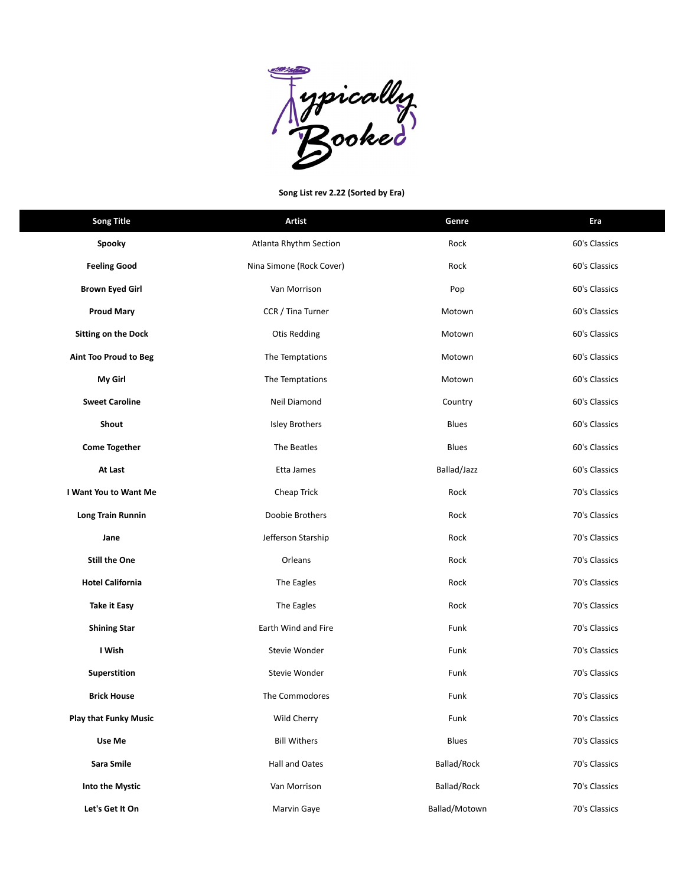

## **Song List rev 2.22 (Sorted by Era)**

| <b>Song Title</b>            | <b>Artist</b>            | Genre         | Era           |
|------------------------------|--------------------------|---------------|---------------|
| Spooky                       | Atlanta Rhythm Section   | Rock          | 60's Classics |
| <b>Feeling Good</b>          | Nina Simone (Rock Cover) | Rock          | 60's Classics |
| <b>Brown Eyed Girl</b>       | Van Morrison             | Pop           | 60's Classics |
| <b>Proud Mary</b>            | CCR / Tina Turner        | Motown        | 60's Classics |
| <b>Sitting on the Dock</b>   | <b>Otis Redding</b>      | Motown        | 60's Classics |
| Aint Too Proud to Beg        | The Temptations          | Motown        | 60's Classics |
| My Girl                      | The Temptations          | Motown        | 60's Classics |
| <b>Sweet Caroline</b>        | Neil Diamond             | Country       | 60's Classics |
| Shout                        | <b>Isley Brothers</b>    | <b>Blues</b>  | 60's Classics |
| <b>Come Together</b>         | The Beatles              | <b>Blues</b>  | 60's Classics |
| At Last                      | Etta James               | Ballad/Jazz   | 60's Classics |
| I Want You to Want Me        | Cheap Trick              | Rock          | 70's Classics |
| Long Train Runnin            | Doobie Brothers          | Rock          | 70's Classics |
| Jane                         | Jefferson Starship       | Rock          | 70's Classics |
| <b>Still the One</b>         | Orleans                  | Rock          | 70's Classics |
| <b>Hotel California</b>      | The Eagles               | Rock          | 70's Classics |
| Take it Easy                 | The Eagles               | Rock          | 70's Classics |
| <b>Shining Star</b>          | Earth Wind and Fire      | Funk          | 70's Classics |
| I Wish                       | Stevie Wonder            | Funk          | 70's Classics |
| Superstition                 | Stevie Wonder            | Funk          | 70's Classics |
| <b>Brick House</b>           | The Commodores           | Funk          | 70's Classics |
| <b>Play that Funky Music</b> | Wild Cherry              | Funk          | 70's Classics |
| Use Me                       | <b>Bill Withers</b>      | Blues         | 70's Classics |
| Sara Smile                   | Hall and Oates           | Ballad/Rock   | 70's Classics |
| Into the Mystic              | Van Morrison             | Ballad/Rock   | 70's Classics |
| Let's Get It On              | Marvin Gaye              | Ballad/Motown | 70's Classics |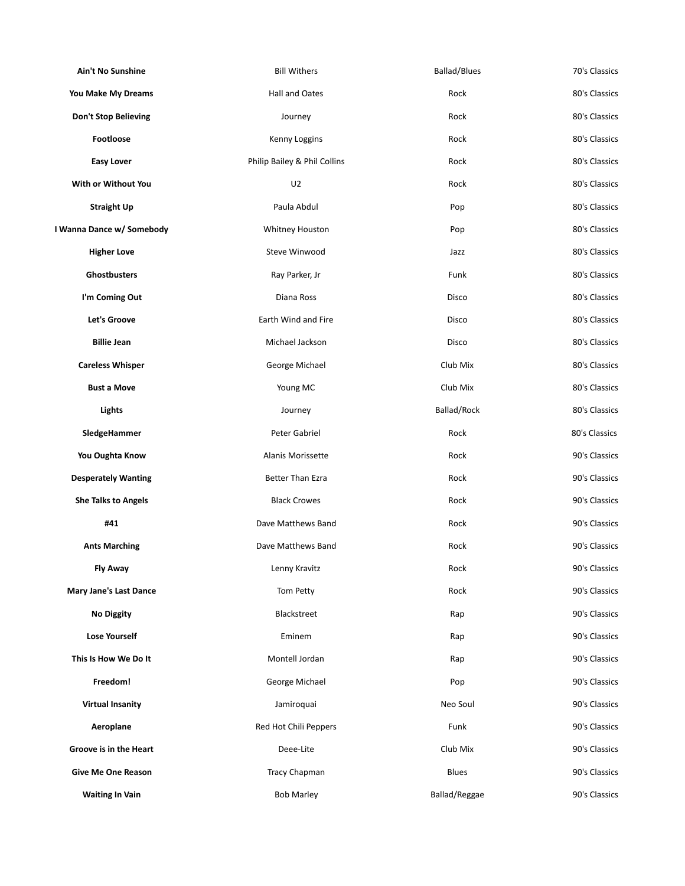| Ain't No Sunshine             | <b>Bill Withers</b>          | <b>Ballad/Blues</b> | 70's Classics |
|-------------------------------|------------------------------|---------------------|---------------|
| You Make My Dreams            | <b>Hall and Oates</b>        | Rock                | 80's Classics |
| <b>Don't Stop Believing</b>   | Journey                      | Rock                | 80's Classics |
| Footloose                     | Kenny Loggins                | Rock                | 80's Classics |
| <b>Easy Lover</b>             | Philip Bailey & Phil Collins | Rock                | 80's Classics |
| With or Without You           | U2                           | Rock                | 80's Classics |
| <b>Straight Up</b>            | Paula Abdul                  | Pop                 | 80's Classics |
| I Wanna Dance w/ Somebody     | Whitney Houston              | Pop                 | 80's Classics |
| <b>Higher Love</b>            | Steve Winwood                | Jazz                | 80's Classics |
| Ghostbusters                  | Ray Parker, Jr               | Funk                | 80's Classics |
| I'm Coming Out                | Diana Ross                   | Disco               | 80's Classics |
| <b>Let's Groove</b>           | Earth Wind and Fire          | Disco               | 80's Classics |
| <b>Billie Jean</b>            | Michael Jackson              | Disco               | 80's Classics |
| <b>Careless Whisper</b>       | George Michael               | Club Mix            | 80's Classics |
| <b>Bust a Move</b>            | Young MC                     | Club Mix            | 80's Classics |
| Lights                        | Journey                      | Ballad/Rock         | 80's Classics |
| SledgeHammer                  | Peter Gabriel                | Rock                | 80's Classics |
| You Oughta Know               | Alanis Morissette            | Rock                | 90's Classics |
| <b>Desperately Wanting</b>    | <b>Better Than Ezra</b>      | Rock                | 90's Classics |
| <b>She Talks to Angels</b>    | <b>Black Crowes</b>          | Rock                | 90's Classics |
| #41                           | Dave Matthews Band           | Rock                | 90's Classics |
| <b>Ants Marching</b>          | Dave Matthews Band           | Rock                | 90's Classics |
| <b>Fly Away</b>               | Lenny Kravitz                | Rock                | 90's Classics |
| <b>Mary Jane's Last Dance</b> | Tom Petty                    | Rock                | 90's Classics |
| <b>No Diggity</b>             | Blackstreet                  | Rap                 | 90's Classics |
| <b>Lose Yourself</b>          | Eminem                       | Rap                 | 90's Classics |
| This Is How We Do It          | Montell Jordan               | Rap                 | 90's Classics |
| Freedom!                      | George Michael               | Pop                 | 90's Classics |
| <b>Virtual Insanity</b>       | Jamiroquai                   | Neo Soul            | 90's Classics |
| Aeroplane                     | Red Hot Chili Peppers        | Funk                | 90's Classics |
| Groove is in the Heart        | Deee-Lite                    | Club Mix            | 90's Classics |
| <b>Give Me One Reason</b>     | Tracy Chapman                | <b>Blues</b>        | 90's Classics |
| <b>Waiting In Vain</b>        | <b>Bob Marley</b>            | Ballad/Reggae       | 90's Classics |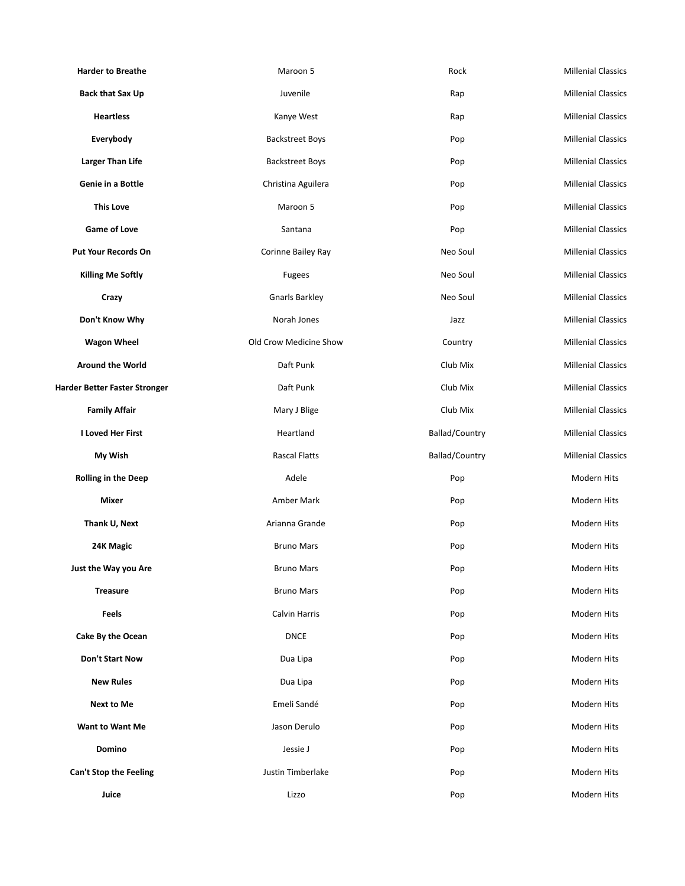| <b>Harder to Breathe</b>      | Maroon 5               | Rock           | <b>Millenial Classics</b> |
|-------------------------------|------------------------|----------------|---------------------------|
| <b>Back that Sax Up</b>       | Juvenile               | Rap            | <b>Millenial Classics</b> |
| <b>Heartless</b>              | Kanye West             | Rap            | <b>Millenial Classics</b> |
| Everybody                     | <b>Backstreet Boys</b> | Pop            | <b>Millenial Classics</b> |
| <b>Larger Than Life</b>       | <b>Backstreet Boys</b> | Pop            | <b>Millenial Classics</b> |
| Genie in a Bottle             | Christina Aguilera     | Pop            | <b>Millenial Classics</b> |
| <b>This Love</b>              | Maroon 5               | Pop            | <b>Millenial Classics</b> |
| <b>Game of Love</b>           | Santana                | Pop            | <b>Millenial Classics</b> |
| <b>Put Your Records On</b>    | Corinne Bailey Ray     | Neo Soul       | <b>Millenial Classics</b> |
| <b>Killing Me Softly</b>      | Fugees                 | Neo Soul       | <b>Millenial Classics</b> |
| Crazy                         | <b>Gnarls Barkley</b>  | Neo Soul       | <b>Millenial Classics</b> |
| Don't Know Why                | Norah Jones            | Jazz           | <b>Millenial Classics</b> |
| <b>Wagon Wheel</b>            | Old Crow Medicine Show | Country        | <b>Millenial Classics</b> |
| <b>Around the World</b>       | Daft Punk              | Club Mix       | <b>Millenial Classics</b> |
| Harder Better Faster Stronger | Daft Punk              | Club Mix       | <b>Millenial Classics</b> |
| <b>Family Affair</b>          | Mary J Blige           | Club Mix       | <b>Millenial Classics</b> |
| <b>I Loved Her First</b>      | Heartland              | Ballad/Country | <b>Millenial Classics</b> |
| My Wish                       | <b>Rascal Flatts</b>   | Ballad/Country | <b>Millenial Classics</b> |
| <b>Rolling in the Deep</b>    | Adele                  | Pop            | Modern Hits               |
| Mixer                         | Amber Mark             | Pop            | Modern Hits               |
| Thank U, Next                 | Arianna Grande         | Pop            | Modern Hits               |
| 24K Magic                     | <b>Bruno Mars</b>      | Pop            | Modern Hits               |
| Just the Way you Are          | <b>Bruno Mars</b>      | Pop            | Modern Hits               |
| <b>Treasure</b>               | <b>Bruno Mars</b>      | Pop            | Modern Hits               |
| <b>Feels</b>                  | Calvin Harris          | Pop            | Modern Hits               |
| Cake By the Ocean             | <b>DNCE</b>            | Pop            | Modern Hits               |
| <b>Don't Start Now</b>        | Dua Lipa               | Pop            | Modern Hits               |
| <b>New Rules</b>              | Dua Lipa               | Pop            | Modern Hits               |
| <b>Next to Me</b>             | Emeli Sandé            | Pop            | Modern Hits               |
| <b>Want to Want Me</b>        | Jason Derulo           | Pop            | Modern Hits               |
| Domino                        | Jessie J               | Pop            | Modern Hits               |
| Can't Stop the Feeling        | Justin Timberlake      | Pop            | Modern Hits               |
| Juice                         | Lizzo                  | Pop            | Modern Hits               |